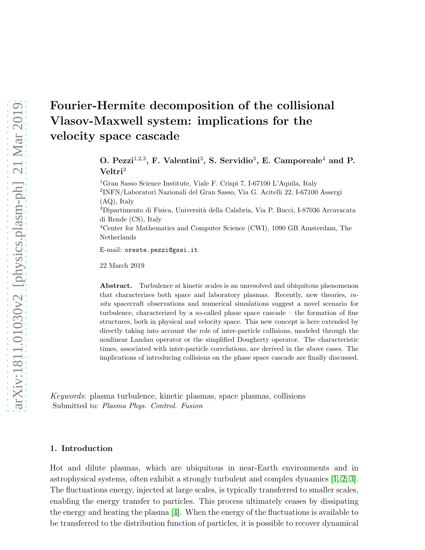# Fourier-Hermite decomposition of the collisional Vlasov-Maxwell system: implications for the velocity space cascade

O. Pezzi<sup>1,2,3</sup>, F. Valentini<sup>3</sup>, S. Servidio<sup>3</sup>, E. Camporeale<sup>4</sup> and P. Veltri<sup>3</sup>

<sup>1</sup>Gran Sasso Science Institute, Viale F. Crispi 7, I-67100 L'Aquila, Italy 2 INFN/Laboratori Nazionali del Gran Sasso, Via G. Acitelli 22, I-67100 Assergi (AQ), Italy <sup>3</sup>Dipartimento di Fisica, Universit`a della Calabria, Via P. Bucci, I-87036 Arcavacata di Rende (CS), Italy

<sup>4</sup>Center for Mathematics and Computer Science (CWI), 1090 GB Amsterdam, The Netherlands

E-mail: oreste.pezzi@gssi.it

22 March 2019

Abstract. Turbulence at kinetic scales is an unresolved and ubiquitous phenomenon that characterizes both space and laboratory plasmas. Recently, new theories, insitu spacecraft observations and numerical simulations suggest a novel scenario for turbulence, characterized by a so-called phase space cascade – the formation of fine structures, both in physical and velocity space. This new concept is here extended by directly taking into account the role of inter-particle collisions, modeled through the nonlinear Landau operator or the simplified Dougherty operator. The characteristic times, associated with inter-particle correlations, are derived in the above cases. The implications of introducing collisions on the phase space cascade are finally discussed.

Keywords: plasma turbulence, kinetic plasmas, space plasmas, collisions Submitted to: Plasma Phys. Control. Fusion

#### 1. Introduction

Hot and dilute plasmas, which are ubiquitous in near-Earth environments and in astrophysical systems, often exhibit a strongly turbulent and complex dynamics [\[1,](#page-10-0) [2,](#page-10-1) [3\]](#page-10-2). The fluctuations energy, injected at large scales, is typically transferred to smaller scales, enabling the energy transfer to particles. This process ultimately ceases by dissipating the energy and heating the plasma [\[4\]](#page-10-3). When the energy of the fluctuations is available to be transferred to the distribution function of particles, it is possible to recover dynamical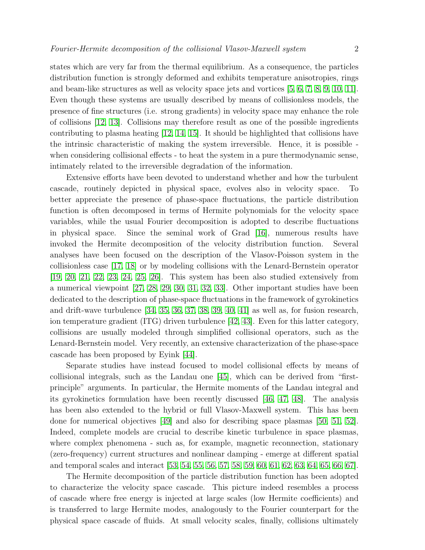states which are very far from the thermal equilibrium. As a consequence, the particles distribution function is strongly deformed and exhibits temperature anisotropies, rings and beam-like structures as well as velocity space jets and vortices [\[5,](#page-11-0) [6,](#page-11-1) [7,](#page-11-2) [8,](#page-11-3) [9,](#page-11-4) [10,](#page-11-5) [11\]](#page-11-6). Even though these systems are usually described by means of collisionless models, the presence of fine structures (i.e. strong gradients) in velocity space may enhance the role of collisions [\[12,](#page-11-7) [13\]](#page-11-8). Collisions may therefore result as one of the possible ingredients contributing to plasma heating [\[12,](#page-11-7) [14,](#page-11-9) [15\]](#page-11-10). It should be highlighted that collisions have the intrinsic characteristic of making the system irreversible. Hence, it is possible when considering collisional effects - to heat the system in a pure thermodynamic sense, intimately related to the irreversible degradation of the information.

Extensive efforts have been devoted to understand whether and how the turbulent cascade, routinely depicted in physical space, evolves also in velocity space. To better appreciate the presence of phase-space fluctuations, the particle distribution function is often decomposed in terms of Hermite polynomials for the velocity space variables, while the usual Fourier decomposition is adopted to describe fluctuations in physical space. Since the seminal work of Grad [\[16\]](#page-11-11), numerous results have invoked the Hermite decomposition of the velocity distribution function. Several analyses have been focused on the description of the Vlasov-Poisson system in the collisionless case [\[17,](#page-11-12) [18\]](#page-11-13) or by modeling collisions with the Lenard-Bernstein operator [\[19,](#page-11-14) [20,](#page-11-15) [21,](#page-11-16) [22,](#page-11-17) [23,](#page-11-18) [24,](#page-11-19) [25,](#page-11-20) [26\]](#page-11-21). This system has been also studied extensively from a numerical viewpoint [\[27,](#page-11-22) [28,](#page-11-23) [29,](#page-11-24) [30,](#page-11-25) [31,](#page-11-26) [32,](#page-11-27) [33\]](#page-11-28). Other important studies have been dedicated to the description of phase-space fluctuations in the framework of gyrokinetics and drift-wave turbulence [\[34,](#page-11-29) [35,](#page-11-30) [36,](#page-11-31) [37,](#page-11-32) [38,](#page-11-33) [39,](#page-11-34) [40,](#page-11-35) [41\]](#page-11-36) as well as, for fusion research, ion temperature gradient (ITG) driven turbulence [\[42,](#page-11-37) [43\]](#page-11-38). Even for this latter category, collisions are usually modeled through simplified collisional operators, such as the Lenard-Bernstein model. Very recently, an extensive characterization of the phase-space cascade has been proposed by Eyink [\[44\]](#page-11-39).

Separate studies have instead focused to model collisional effects by means of collisional integrals, such as the Landau one [\[45\]](#page-12-0), which can be derived from "firstprinciple" arguments. In particular, the Hermite moments of the Landau integral and its gyrokinetics formulation have been recently discussed [\[46,](#page-12-1) [47,](#page-12-2) [48\]](#page-12-3). The analysis has been also extended to the hybrid or full Vlasov-Maxwell system. This has been done for numerical objectives [\[49\]](#page-12-4) and also for describing space plasmas [\[50,](#page-12-5) [51,](#page-12-6) [52\]](#page-12-7). Indeed, complete models are crucial to describe kinetic turbulence in space plasmas, where complex phenomena - such as, for example, magnetic reconnection, stationary (zero-frequency) current structures and nonlinear damping - emerge at different spatial and temporal scales and interact [\[53,](#page-12-8) [54,](#page-12-9) [55,](#page-12-10) [56,](#page-12-11) [57,](#page-12-12) [58,](#page-12-13) [59,](#page-12-14) [60,](#page-12-15) [61,](#page-12-16) [62,](#page-12-17) [63,](#page-12-18) [64,](#page-12-19) [65,](#page-12-20) [66,](#page-12-21) [67\]](#page-12-22).

The Hermite decomposition of the particle distribution function has been adopted to characterize the velocity space cascade. This picture indeed resembles a process of cascade where free energy is injected at large scales (low Hermite coefficients) and is transferred to large Hermite modes, analogously to the Fourier counterpart for the physical space cascade of fluids. At small velocity scales, finally, collisions ultimately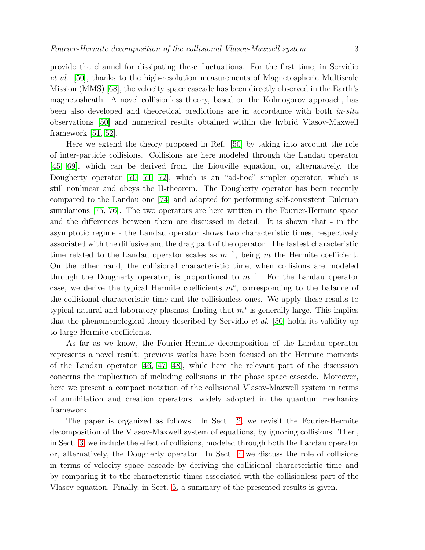provide the channel for dissipating these fluctuations. For the first time, in Servidio et al. [\[50\]](#page-12-5), thanks to the high-resolution measurements of Magnetospheric Multiscale Mission (MMS) [\[68\]](#page-12-23), the velocity space cascade has been directly observed in the Earth's magnetosheath. A novel collisionless theory, based on the Kolmogorov approach, has been also developed and theoretical predictions are in accordance with both *in-situ* observations [\[50\]](#page-12-5) and numerical results obtained within the hybrid Vlasov-Maxwell framework [\[51,](#page-12-6) [52\]](#page-12-7).

Here we extend the theory proposed in Ref. [\[50\]](#page-12-5) by taking into account the role of inter-particle collisions. Collisions are here modeled through the Landau operator [\[45,](#page-12-0) [69\]](#page-12-24), which can be derived from the Liouville equation, or, alternatively, the Dougherty operator [\[70,](#page-12-25) [71,](#page-12-26) [72\]](#page-12-27), which is an "ad-hoc" simpler operator, which is still nonlinear and obeys the H-theorem. The Dougherty operator has been recently compared to the Landau one [\[74\]](#page-12-28) and adopted for performing self-consistent Eulerian simulations [\[75,](#page-12-29) [76\]](#page-12-30). The two operators are here written in the Fourier-Hermite space and the differences between them are discussed in detail. It is shown that - in the asymptotic regime - the Landau operator shows two characteristic times, respectively associated with the diffusive and the drag part of the operator. The fastest characteristic time related to the Landau operator scales as  $m^{-2}$ , being m the Hermite coefficient. On the other hand, the collisional characteristic time, when collisions are modeled through the Dougherty operator, is proportional to  $m^{-1}$ . For the Landau operator case, we derive the typical Hermite coefficients m<sup>∗</sup> , corresponding to the balance of the collisional characteristic time and the collisionless ones. We apply these results to typical natural and laboratory plasmas, finding that  $m^*$  is generally large. This implies that the phenomenological theory described by Servidio et al. [\[50\]](#page-12-5) holds its validity up to large Hermite coefficients.

As far as we know, the Fourier-Hermite decomposition of the Landau operator represents a novel result: previous works have been focused on the Hermite moments of the Landau operator [\[46,](#page-12-1) [47,](#page-12-2) [48\]](#page-12-3), while here the relevant part of the discussion concerns the implication of including collisions in the phase space cascade. Moreover, here we present a compact notation of the collisional Vlasov-Maxwell system in terms of annihilation and creation operators, widely adopted in the quantum mechanics framework.

The paper is organized as follows. In Sect. [2,](#page-3-0) we revisit the Fourier-Hermite decomposition of the Vlasov-Maxwell system of equations, by ignoring collisions. Then, in Sect. [3,](#page-4-0) we include the effect of collisions, modeled through both the Landau operator or, alternatively, the Dougherty operator. In Sect. [4](#page-7-0) we discuss the role of collisions in terms of velocity space cascade by deriving the collisional characteristic time and by comparing it to the characteristic times associated with the collisionless part of the Vlasov equation. Finally, in Sect. [5,](#page-9-0) a summary of the presented results is given.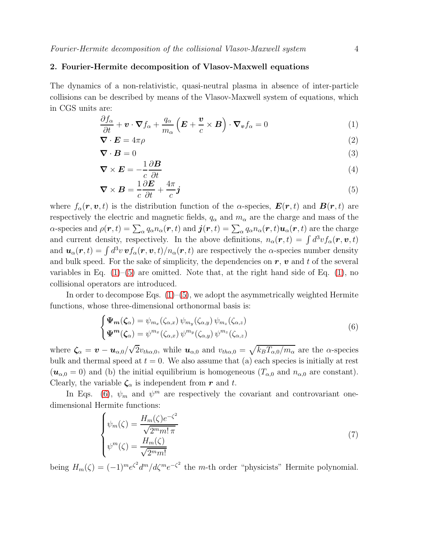# <span id="page-3-0"></span>2. Fourier-Hermite decomposition of Vlasov-Maxwell equations

The dynamics of a non-relativistic, quasi-neutral plasma in absence of inter-particle collisions can be described by means of the Vlasov-Maxwell system of equations, which in CGS units are:

<span id="page-3-1"></span>
$$
\frac{\partial f_{\alpha}}{\partial t} + \boldsymbol{v} \cdot \boldsymbol{\nabla} f_{\alpha} + \frac{q_{\alpha}}{m_{\alpha}} \left( \boldsymbol{E} + \frac{\boldsymbol{v}}{c} \times \boldsymbol{B} \right) \cdot \boldsymbol{\nabla}_{\boldsymbol{v}} f_{\alpha} = 0 \tag{1}
$$

$$
\nabla \cdot \boldsymbol{E} = 4\pi \rho \tag{2}
$$

$$
\nabla \cdot \mathbf{B} = 0 \tag{3}
$$

$$
\nabla \times \mathbf{E} = -\frac{1}{c} \frac{\partial \mathbf{B}}{\partial t}
$$
(4)

$$
\nabla \times \boldsymbol{B} = \frac{1}{c} \frac{\partial \boldsymbol{E}}{\partial t} + \frac{4\pi}{c} \boldsymbol{j}
$$
 (5)

where  $f_{\alpha}(\mathbf{r}, \mathbf{v}, t)$  is the distribution function of the  $\alpha$ -species,  $\mathbf{E}(\mathbf{r}, t)$  and  $\mathbf{B}(\mathbf{r}, t)$  are respectively the electric and magnetic fields,  $q_{\alpha}$  and  $m_{\alpha}$  are the charge and mass of the  $\alpha$ -species and  $\rho(\bm{r},t)=\sum_{\alpha}q_\alpha n_\alpha(\bm{r},t)$  and  $\bm{j}(\bm{r},t)=\sum_{\alpha}q_\alpha n_\alpha(\bm{r},t)\bm{u}_\alpha(\bm{r},t)$  are the charge and current density, respectively. In the above definitions,  $n_{\alpha}(\mathbf{r},t) = \int d^3v f_{\alpha}(\mathbf{r},\mathbf{v},t)$ and  $u_\alpha(r,t) = \int d^3v \, v f_\alpha(r,v,t)/n_\alpha(r,t)$  are respectively the  $\alpha$ -species number density and bulk speed. For the sake of simplicity, the dependencies on  $r, v$  and t of the several variables in Eq.  $(1)$ – $(5)$  are omitted. Note that, at the right hand side of Eq.  $(1)$ , no collisional operators are introduced.

In order to decompose Eqs.  $(1)$ – $(5)$ , we adopt the asymmetrically weighted Hermite functions, whose three-dimensional orthonormal basis is:

<span id="page-3-2"></span>
$$
\begin{cases}\n\Psi_m(\zeta_\alpha) = \psi_{m_x}(\zeta_{\alpha,x}) \psi_{m_y}(\zeta_{\alpha,y}) \psi_{m_z}(\zeta_{\alpha,z}) \\
\Psi^m(\zeta_\alpha) = \psi^{m_x}(\zeta_{\alpha,x}) \psi^{m_y}(\zeta_{\alpha,y}) \psi^{m_z}(\zeta_{\alpha,z})\n\end{cases} \tag{6}
$$

where  $\zeta_{\alpha} = \boldsymbol{v} - \boldsymbol{u}_{\alpha,0}/\sqrt{2}v_{th\alpha,0}$ , while  $\boldsymbol{u}_{\alpha,0}$  and  $v_{th\alpha,0} = \sqrt{k_B T_{\alpha,0}/m_\alpha}$  are the  $\alpha$ -species bulk and thermal speed at  $t = 0$ . We also assume that (a) each species is initially at rest  $(\mathbf{u}_{\alpha,0}=0)$  and (b) the initial equilibrium is homogeneous  $(T_{\alpha,0}$  and  $n_{\alpha,0}$  are constant). Clearly, the variable  $\zeta_{\alpha}$  is independent from r and t.

In Eqs. [\(6\)](#page-3-2),  $\psi_m$  and  $\psi^m$  are respectively the covariant and controvariant onedimensional Hermite functions:

<span id="page-3-3"></span>
$$
\begin{cases}\n\psi_m(\zeta) = \frac{H_m(\zeta)e^{-\zeta^2}}{\sqrt{2^m m! \pi}} \\
\psi^m(\zeta) = \frac{H_m(\zeta)}{\sqrt{2^m m!}}\n\end{cases} \tag{7}
$$

being  $H_m(\zeta) = (-1)^m e^{\zeta^2} d^m / d\zeta^m e^{-\zeta^2}$  the m-th order "physicists" Hermite polynomial.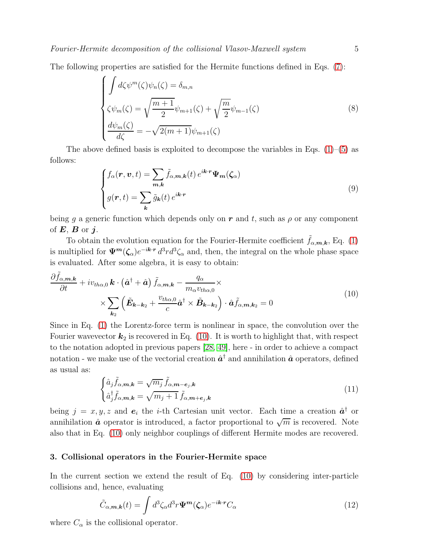The following properties are satisfied for the Hermite functions defined in Eqs. [\(7\)](#page-3-3):

$$
\begin{cases}\n\int d\zeta \psi^m(\zeta)\psi_n(\zeta) = \delta_{m,n} \\
\zeta \psi_m(\zeta) = \sqrt{\frac{m+1}{2}}\psi_{m+1}(\zeta) + \sqrt{\frac{m}{2}}\psi_{m-1}(\zeta) \\
\frac{d\psi_m(\zeta)}{d\zeta} = -\sqrt{2(m+1)}\psi_{m+1}(\zeta)\n\end{cases} (8)
$$

The above defined basis is exploited to decompose the variables in Eqs.  $(1)$ – $(5)$  as follows:

$$
\begin{cases}\nf_{\alpha}(\mathbf{r}, \mathbf{v}, t) = \sum_{\mathbf{m}, \mathbf{k}} \tilde{f}_{\alpha, \mathbf{m}, \mathbf{k}}(t) e^{i\mathbf{k} \cdot \mathbf{r}} \Psi_{\mathbf{m}}(\zeta_{\alpha}) \\
g(\mathbf{r}, t) = \sum_{\mathbf{k}} \tilde{g}_{\mathbf{k}}(t) e^{i\mathbf{k} \cdot \mathbf{r}}\n\end{cases} \tag{9}
$$

being g a generic function which depends only on r and t, such as  $\rho$  or any component of  $E$ ,  $B$  or  $i$ .

To obtain the evolution equation for the Fourier-Hermite coefficient  $\tilde{f}_{\alpha,\mathbf{m},\mathbf{k}}$ , Eq. [\(1\)](#page-3-1) is multiplied for  $\Psi^m(\zeta_\alpha)e^{-ik\cdot r} d^3rd^3\zeta_\alpha$  and, then, the integral on the whole phase space is evaluated. After some algebra, it is easy to obtain:

<span id="page-4-1"></span>
$$
\frac{\partial \tilde{f}_{\alpha,m,k}}{\partial t} + iv_{th\alpha,0} \mathbf{k} \cdot (\hat{\mathbf{a}}^{\dagger} + \hat{\mathbf{a}}) \tilde{f}_{\alpha,m,k} - \frac{q_{\alpha}}{m_{\alpha} v_{th\alpha,0}} \times \times \sum_{\mathbf{k}_2} (\tilde{\mathbf{E}}_{\mathbf{k}-\mathbf{k}_2} + \frac{v_{th\alpha,0}}{c} \hat{\mathbf{a}}^{\dagger} \times \tilde{\mathbf{B}}_{\mathbf{k}-\mathbf{k}_2}) \cdot \hat{\mathbf{a}} \tilde{f}_{\alpha,m,k_2} = 0
$$
\n(10)

Since in Eq. [\(1\)](#page-3-1) the Lorentz-force term is nonlinear in space, the convolution over the Fourier wavevector  $k_2$  is recovered in Eq. [\(10\)](#page-4-1). It is worth to highlight that, with respect to the notation adopted in previous papers [\[28,](#page-11-23) [49\]](#page-12-4), here - in order to achieve a compact notation - we make use of the vectorial creation  $\hat{a}^{\dagger}$  and annihilation  $\hat{a}$  operators, defined as usual as:

$$
\begin{cases}\n\hat{a}_j \tilde{f}_{\alpha,m,k} = \sqrt{m_j} \tilde{f}_{\alpha,m-e_j,k} \\
\hat{a}_j^{\dagger} \tilde{f}_{\alpha,m,k} = \sqrt{m_j+1} \tilde{f}_{\alpha,m+e_j,k}\n\end{cases} \tag{11}
$$

being  $j = x, y, z$  and  $e_i$  the *i*-th Cartesian unit vector. Each time a creation  $\hat{a}^{\dagger}$  or annihilation  $\hat{a}$  operator is introduced, a factor proportional to  $\sqrt{m}$  is recovered. Note also that in Eq. [\(10\)](#page-4-1) only neighbor couplings of different Hermite modes are recovered.

# <span id="page-4-0"></span>3. Collisional operators in the Fourier-Hermite space

In the current section we extend the result of Eq. [\(10\)](#page-4-1) by considering inter-particle collisions and, hence, evaluating

<span id="page-4-2"></span>
$$
\tilde{C}_{\alpha,\mathbf{m},\mathbf{k}}(t) = \int d^3 \zeta_{\alpha} d^3 r \Psi^{\mathbf{m}}(\zeta_{\alpha}) e^{-i\mathbf{k} \cdot \mathbf{r}} C_{\alpha}
$$
\n(12)

where  $C_{\alpha}$  is the collisional operator.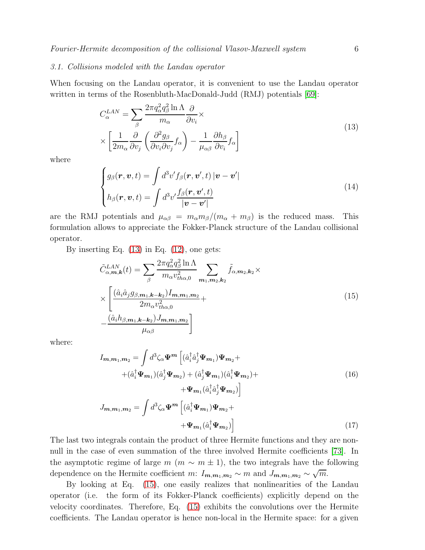# 3.1. Collisions modeled with the Landau operator

When focusing on the Landau operator, it is convenient to use the Landau operator written in terms of the Rosenbluth-MacDonald-Judd (RMJ) potentials [\[69\]](#page-12-24):

<span id="page-5-0"></span>
$$
C_{\alpha}^{LAN} = \sum_{\beta} \frac{2\pi q_{\alpha}^2 q_{\beta}^2 \ln \Lambda}{m_{\alpha}} \frac{\partial}{\partial v_i} \times \left[ \frac{1}{2m_{\alpha}} \frac{\partial}{\partial v_j} \left( \frac{\partial^2 g_{\beta}}{\partial v_i \partial v_j} f_{\alpha} \right) - \frac{1}{\mu_{\alpha\beta}} \frac{\partial h_{\beta}}{\partial v_i} f_{\alpha} \right]
$$
(13)

where

$$
\begin{cases}\ng_{\beta}(\mathbf{r}, \mathbf{v}, t) = \int d^3 v' f_{\beta}(\mathbf{r}, \mathbf{v}', t) |\mathbf{v} - \mathbf{v}'| \\
h_{\beta}(\mathbf{r}, \mathbf{v}, t) = \int d^3 v' \frac{f_{\beta}(\mathbf{r}, \mathbf{v}', t)}{|\mathbf{v} - \mathbf{v}'|}\n\end{cases}
$$
\n(14)

are the RMJ potentials and  $\mu_{\alpha\beta} = m_{\alpha} m_{\beta} / (m_{\alpha} + m_{\beta})$  is the reduced mass. This formulation allows to appreciate the Fokker-Planck structure of the Landau collisional operator.

By inserting Eq.  $(13)$  in Eq.  $(12)$ , one gets:

<span id="page-5-1"></span>
$$
\tilde{C}_{\alpha,m,k}^{LAN}(t) = \sum_{\beta} \frac{2\pi q_{\alpha}^2 q_{\beta}^2 \ln \Lambda}{m_{\alpha} v_{th\alpha,0}^2} \sum_{m_1,m_2,k_2} \tilde{f}_{\alpha,m_2,k_2} \times \times \left[ \frac{(\hat{a}_i \hat{a}_j g_{\beta,m_1,k-k_2}) I_{m,m_1,m_2}}{2m_{\alpha} v_{th\alpha,0}^2} + \frac{(\hat{a}_i h_{\beta,m_1,k-k_2}) J_{m,m_1,m_2}}{\mu_{\alpha\beta}} \right]
$$
\n(15)

where:

$$
I_{m,m_1,m_2} = \int d^3 \zeta_\alpha \Psi^m \left[ (\hat{a}_i^\dagger \hat{a}_j^\dagger \Psi_{m_1}) \Psi_{m_2} +
$$
  
+ 
$$
(\hat{a}_i^\dagger \Psi_{m_1}) (\hat{a}_j^\dagger \Psi_{m_2}) + (\hat{a}_j^\dagger \Psi_{m_1}) (\hat{a}_i^\dagger \Psi_{m_2}) +
$$
  
+ 
$$
\Psi_{m_1} (\hat{a}_i^\dagger \hat{a}_j^\dagger \Psi_{m_2}) \right]
$$
  

$$
J_{m,m_1,m_2} = \int d^3 \zeta_\alpha \Psi^m \left[ (\hat{a}_i^\dagger \Psi_{m_1}) \Psi_{m_2} +
$$
  
+ 
$$
\Psi_{m_1} (\hat{a}_i^\dagger \Psi_{m_2}) \right]
$$
(17)

The last two integrals contain the product of three Hermite functions and they are nonnull in the case of even summation of the three involved Hermite coefficients [\[73\]](#page-12-31). In the asymptotic regime of large  $m$  ( $m \sim m \pm 1$ ), the two integrals have the following dependence on the Hermite coefficient m:  $I_{m,m_1,m_2} \sim m$  and  $J_{m,m_1,m_2} \sim \sqrt{m}$ .

By looking at Eq. [\(15\)](#page-5-1), one easily realizes that nonlinearities of the Landau operator (i.e. the form of its Fokker-Planck coefficients) explicitly depend on the velocity coordinates. Therefore, Eq. [\(15\)](#page-5-1) exhibits the convolutions over the Hermite coefficients. The Landau operator is hence non-local in the Hermite space: for a given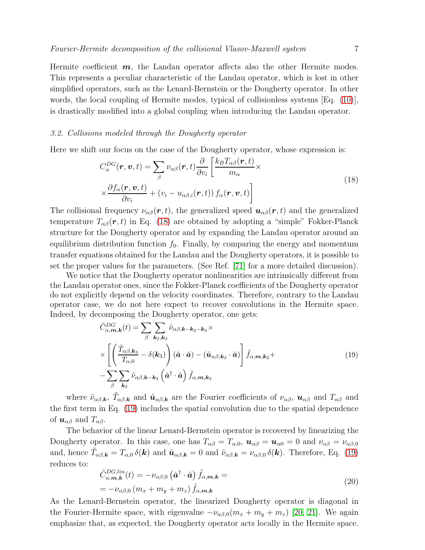Hermite coefficient  $m$ , the Landau operator affects also the other Hermite modes. This represents a peculiar characteristic of the Landau operator, which is lost in other simplified operators, such as the Lenard-Bernstein or the Dougherty operator. In other words, the local coupling of Hermite modes, typical of collisionless systems [Eq. [\(10\)](#page-4-1)], is drastically modified into a global coupling when introducing the Landau operator.

# 3.2. Collisions modeled through the Dougherty operator

Here we shift our focus on the case of the Dougherty operator, whose expression is:

<span id="page-6-0"></span>
$$
C_{\alpha}^{DG}(\boldsymbol{r}, \boldsymbol{v}, t) = \sum_{\beta} \nu_{\alpha\beta}(\boldsymbol{r}, t) \frac{\partial}{\partial v_i} \left[ \frac{k_B T_{\alpha\beta}(\boldsymbol{r}, t)}{m_{\alpha}} \times \frac{\partial f_{\alpha}(\boldsymbol{r}, \boldsymbol{v}, t)}{\partial v_i} + (v_i - u_{\alpha\beta, i}(\boldsymbol{r}, t)) f_{\alpha}(\boldsymbol{r}, \boldsymbol{v}, t) \right]
$$
(18)

The collisional frequency  $\nu_{\alpha\beta}(\mathbf{r},t)$ , the generalized speed  $\mathbf{u}_{\alpha\beta}(\mathbf{r},t)$  and the generalized temperature  $T_{\alpha\beta}(\mathbf{r},t)$  in Eq. [\(18\)](#page-6-0) are obtained by adopting a "simple" Fokker-Planck structure for the Dougherty operator and by expanding the Landau operator around an equilibrium distribution function  $f_0$ . Finally, by comparing the energy and momentum transfer equations obtained for the Landau and the Dougherty operators, it is possible to set the proper values for the parameters. (See Ref. [\[71\]](#page-12-26) for a more detailed discussion).

We notice that the Dougherty operator nonlinearities are intrinsically different from the Landau operator ones, since the Fokker-Planck coefficients of the Dougherty operator do not explicitly depend on the velocity coordinates. Therefore, contrary to the Landau operator case, we do not here expect to recover convolutions in the Hermite space. Indeed, by decomposing the Dougherty operator, one gets:

<span id="page-6-1"></span>
$$
\tilde{C}_{\alpha,m,k}^{DG}(t) = \sum_{\beta} \sum_{\mathbf{k}_2,\mathbf{k}_3} \tilde{\nu}_{\alpha\beta,\mathbf{k}-\mathbf{k}_2-\mathbf{k}_3} \times \times \left[ \left( \frac{\tilde{T}_{\alpha\beta,\mathbf{k}_3}}{T_{\alpha,0}} - \delta(\mathbf{k}_3) \right) (\hat{\mathbf{a}} \cdot \hat{\mathbf{a}}) - (\tilde{\mathbf{u}}_{\alpha\beta,\mathbf{k}_3} \cdot \hat{\mathbf{a}}) \right] \tilde{f}_{\alpha,m,\mathbf{k}_2} + \n- \sum_{\beta} \sum_{\mathbf{k}_2} \tilde{\nu}_{\alpha\beta,\mathbf{k}-\mathbf{k}_2} (\hat{\mathbf{a}}^\dagger \cdot \hat{\mathbf{a}}) \tilde{f}_{\alpha,m,\mathbf{k}_2}
$$
\n(19)

where  $\tilde{\nu}_{\alpha\beta,\mathbf{k}}$ ,  $\tilde{T}_{\alpha\beta,\mathbf{k}}$  and  $\tilde{\mathbf{u}}_{\alpha\beta,\mathbf{k}}$  are the Fourier coefficients of  $\nu_{\alpha\beta}$ ,  $\mathbf{u}_{\alpha\beta}$  and  $T_{\alpha\beta}$  and the first term in Eq. [\(19\)](#page-6-1) includes the spatial convolution due to the spatial dependence of  $u_{\alpha\beta}$  and  $T_{\alpha\beta}$ .

The behavior of the linear Lenard-Bernstein operator is recovered by linearizing the Dougherty operator. In this case, one has  $T_{\alpha\beta} = T_{\alpha,0}$ ,  $u_{\alpha\beta} = u_{\alpha 0} = 0$  and  $\nu_{\alpha\beta} = \nu_{\alpha\beta,0}$ and, hence  $\tilde{T}_{\alpha\beta,\mathbf{k}} = T_{\alpha,0} \, \delta(\mathbf{k})$  and  $\tilde{\mathbf{u}}_{\alpha\beta,\mathbf{k}} = 0$  and  $\tilde{\nu}_{\alpha\beta,\mathbf{k}} = \nu_{\alpha\beta,0} \, \delta(\mathbf{k})$ . Therefore, Eq. [\(19\)](#page-6-1) reduces to:

$$
\tilde{C}_{\alpha,\mathbf{m},\mathbf{k}}^{DG,lin}(t) = -\nu_{\alpha\beta,0} \left(\hat{\mathbf{a}}^{\dagger} \cdot \hat{\mathbf{a}}\right) \tilde{f}_{\alpha,\mathbf{m},\mathbf{k}} = \n= -\nu_{\alpha\beta,0} \left(m_x + m_y + m_z\right) \tilde{f}_{\alpha,\mathbf{m},\mathbf{k}}
$$
\n(20)

As the Lenard-Bernstein operator, the linearized Dougherty operator is diagonal in the Fourier-Hermite space, with eigenvalue  $-\nu_{\alpha\beta,0}(m_x + m_y + m_z)$  [\[20,](#page-11-15) [21\]](#page-11-16). We again emphasize that, as expected, the Dougherty operator acts locally in the Hermite space.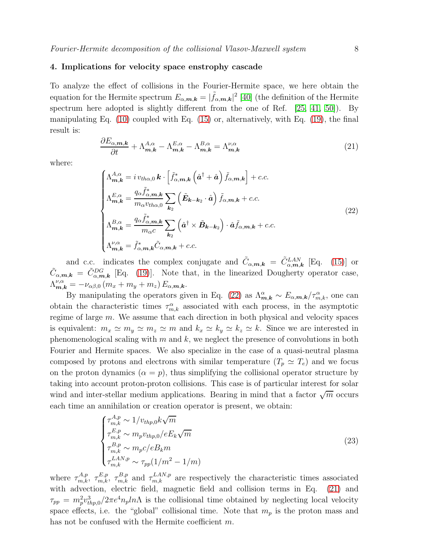# <span id="page-7-0"></span>4. Implications for velocity space enstrophy cascade

To analyze the effect of collisions in the Fourier-Hermite space, we here obtain the equation for the Hermite spectrum  $E_{\alpha,m,k} = |\tilde{f}_{\alpha,m,k}|^2$  [\[40\]](#page-11-35) (the definition of the Hermite spectrum here adopted is slightly different from the one of Ref. [\[25,](#page-11-20) [41,](#page-11-36) [50\]](#page-12-5)). By manipulating Eq.  $(10)$  coupled with Eq.  $(15)$  or, alternatively, with Eq.  $(19)$ , the final result is:

<span id="page-7-2"></span>
$$
\frac{\partial E_{\alpha,m,k}}{\partial t} + \Lambda_{m,k}^{A,\alpha} - \Lambda_{m,k}^{E,\alpha} - \Lambda_{m,k}^{B,\alpha} = \Lambda_{m,k}^{\nu,\alpha} \tag{21}
$$

where:

<span id="page-7-1"></span>
$$
\begin{cases}\n\Lambda_{m,k}^{A,\alpha} = i v_{th\alpha,0} \, \boldsymbol{k} \cdot \left[ \tilde{f}_{\alpha,m,k}^{*} \left( \hat{a}^{\dagger} + \hat{a} \right) \tilde{f}_{\alpha,m,k} \right] + c.c. \\
\Lambda_{m,k}^{E,\alpha} = \frac{q_{\alpha} \tilde{f}_{\alpha,m,k}^{*}}{m_{\alpha} v_{th\alpha,0}} \sum_{k_{2}} \left( \tilde{E}_{k-k_{2}} \cdot \hat{a} \right) \tilde{f}_{\alpha,m,k} + c.c. \\
\Lambda_{m,k}^{B,\alpha} = \frac{q_{\alpha} \tilde{f}_{\alpha,m,k}^{*}}{m_{\alpha} c} \sum_{k_{2}} \left( \hat{a}^{\dagger} \times \tilde{B}_{k-k_{2}} \right) \cdot \hat{a} \tilde{f}_{\alpha,m,k} + c.c. \\
\Lambda_{m,k}^{\nu,\alpha} = \tilde{f}_{\alpha,m,k}^{*} \tilde{C}_{\alpha,m,k} + c.c.\n\end{cases}
$$
\n(22)

and c.c. indicates the complex conjugate and  $\tilde{C}_{\alpha,m,k} = \tilde{C}_{\alpha,m,k}^{LAN}$  [Eq. [\(15\)](#page-5-1)] or  $\tilde{C}_{\alpha,m,k} = \tilde{C}_{\alpha,m,k}^{DG}$  [Eq. [\(19\)](#page-6-1)]. Note that, in the linearized Dougherty operator case,  $\Lambda^{\nu,\alpha}_{\boldsymbol{m},\boldsymbol{k}}=-\nu_{\alpha\beta,0}\left(m_x+m_y+m_z\right)E_{\alpha,\boldsymbol{m},\boldsymbol{k}}.$ 

By manipulating the operators given in Eq. [\(22\)](#page-7-1) as  $\Lambda_{m,k}^{\alpha} \sim E_{\alpha,m,k}/\tau_{m,k}^{\alpha}$ , one can obtain the characteristic times  $\tau_{m,k}^{\alpha}$  associated with each process, in the asymptotic regime of large m. We assume that each direction in both physical and velocity spaces is equivalent:  $m_x \simeq m_y \simeq m_z \simeq m$  and  $k_x \simeq k_y \simeq k_z \simeq k$ . Since we are interested in phenomenological scaling with  $m$  and  $k$ , we neglect the presence of convolutions in both Fourier and Hermite spaces. We also specialize in the case of a quasi-neutral plasma composed by protons and electrons with similar temperature  $(T_p \simeq T_e)$  and we focus on the proton dynamics  $(\alpha = p)$ , thus simplifying the collisional operator structure by taking into account proton-proton collisions. This case is of particular interest for solar wind and inter-stellar medium applications. Bearing in mind that a factor  $\sqrt{m}$  occurs each time an annihilation or creation operator is present, we obtain:

$$
\begin{cases}\n\tau_{m,k}^{A,p} \sim 1/v_{thp,0}k\sqrt{m} \\
\tau_{m,k}^{E,p} \sim m_p v_{thp,0}/eE_k\sqrt{m} \\
\tau_{m,k}^{B,p} \sim m_p c/eB_k m \\
\tau_{m,k}^{LAN,p} \sim \tau_{pp}(1/m^2 - 1/m)\n\end{cases}
$$
\n(23)

where  $\tau_{m,k}^{A,p}$ ,  $\tau_{m,k}^{E,p}$ ,  $\tau_{m,k}^{B,p}$  and  $\tau_{m,k}^{LAN,p}$  are respectively the characteristic times associated with advection, electric field, magnetic field and collision terms in Eq.  $(21)$  and  $\tau_{pp} = m_p^2 v_{thp,0}^3/2\pi e^4 n_p ln\Lambda$  is the collisional time obtained by neglecting local velocity space effects, i.e. the "global" collisional time. Note that  $m_p$  is the proton mass and has not be confused with the Hermite coefficient m.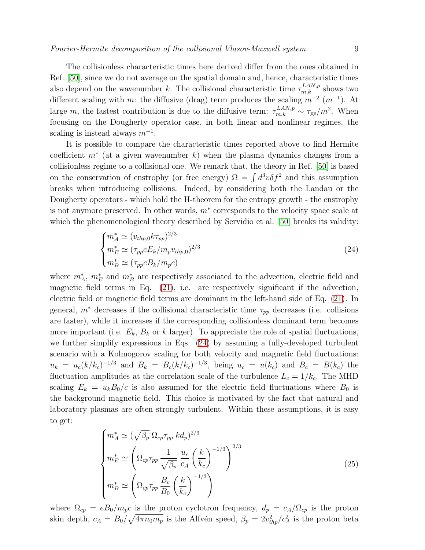The collisionless characteristic times here derived differ from the ones obtained in Ref. [\[50\]](#page-12-5), since we do not average on the spatial domain and, hence, characteristic times also depend on the wavenumber k. The collisional characteristic time  $\tau_{m,k}^{LAN,p}$  shows two different scaling with m: the diffusive (drag) term produces the scaling  $m^{-2}$   $(m^{-1})$ . At large m, the fastest contribution is due to the diffusive term:  $\tau_{m,k}^{LAN,p} \sim \tau_{pp}/m^2$ . When focusing on the Dougherty operator case, in both linear and nonlinear regimes, the scaling is instead always  $m^{-1}$ .

It is possible to compare the characteristic times reported above to find Hermite coefficient  $m^*$  (at a given wavenumber k) when the plasma dynamics changes from a collisionless regime to a collisional one. We remark that, the theory in Ref. [\[50\]](#page-12-5) is based on the conservation of enstrophy (or free energy)  $\Omega = \int d^3v \delta f^2$  and this assumption breaks when introducing collisions. Indeed, by considering both the Landau or the Dougherty operators - which hold the H-theorem for the entropy growth - the enstrophy is not anymore preserved. In other words,  $m^*$  corresponds to the velocity space scale at which the phenomenological theory described by Servidio et al. [\[50\]](#page-12-5) breaks its validity:

<span id="page-8-0"></span>
$$
\begin{cases}\n m_A^* \simeq (v_{thp,0}k\tau_{pp})^{2/3} \\
 m_E^* \simeq (\tau_{pp}eE_k/m_p v_{thp,0})^{2/3} \\
 m_B^* \simeq (\tau_{pp}eB_k/m_p c)\n\end{cases} \tag{24}
$$

where  $m_A^*$ ,  $m_E^*$  and  $m_B^*$  are respectively associated to the advection, electric field and magnetic field terms in Eq. [\(21\)](#page-7-2), i.e. are respectively significant if the advection, electric field or magnetic field terms are dominant in the left-hand side of Eq. [\(21\)](#page-7-2). In general,  $m^*$  decreases if the collisional characteristic time  $\tau_{pp}$  decreases (i.e. collisions are faster), while it increases if the corresponding collisionless dominant term becomes more important (i.e.  $E_k$ ,  $B_k$  or k larger). To appreciate the role of spatial fluctuations, we further simplify expressions in Eqs. [\(24\)](#page-8-0) by assuming a fully-developed turbulent scenario with a Kolmogorov scaling for both velocity and magnetic field fluctuations:  $u_k = u_c (k/k_c)^{-1/3}$  and  $B_k = B_c (k/k_c)^{-1/3}$ , being  $u_c = u(k_c)$  and  $B_c = B(k_c)$  the fluctuation amplitudes at the correlation scale of the turbulence  $L_c = 1/k_c$ . The MHD scaling  $E_k = u_k B_0/c$  is also assumed for the electric field fluctuations where  $B_0$  is the background magnetic field. This choice is motivated by the fact that natural and laboratory plasmas are often strongly turbulent. Within these assumptions, it is easy to get:

$$
\begin{cases}\n m_A^* \simeq (\sqrt{\beta_p} \ \Omega_{cp} \tau_{pp} \ k d_p)^{2/3} \\
 m_E^* \simeq \left( \Omega_{cp} \tau_{pp} \ \frac{1}{\sqrt{\beta_p}} \ \frac{u_c}{c_A} \left( \frac{k}{k_c} \right)^{-1/3} \right)^{2/3} \\
 m_B^* \simeq \left( \Omega_{cp} \tau_{pp} \ \frac{B_c}{B_0} \left( \frac{k}{k_c} \right)^{-1/3} \right)\n\end{cases} \tag{25}
$$

where  $\Omega_{cp} = eB_0/m_pc$  is the proton cyclotron frequency,  $d_p = c_A/\Omega_{cp}$  is the proton skin depth,  $c_A = B_0 / \sqrt{4 \pi n_0 m_p}$  is the Alfvén speed,  $\beta_p = 2v_{thp}^2/c_A^2$  is the proton beta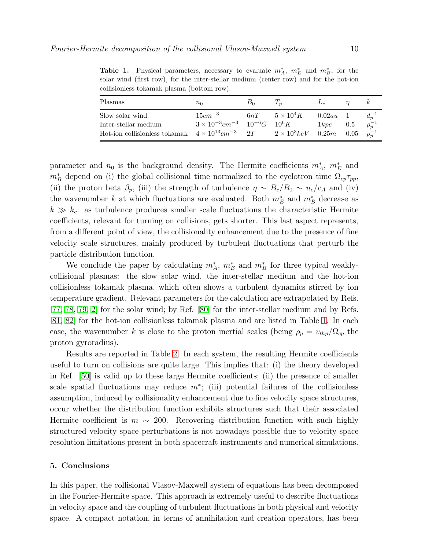| Plasmas                                                                                                | $n_0$                                                                     | B∩ | $\mathbf{I}_n$                                                 | $L_c$                    | $\kappa$                                     |
|--------------------------------------------------------------------------------------------------------|---------------------------------------------------------------------------|----|----------------------------------------------------------------|--------------------------|----------------------------------------------|
| Slow solar wind<br>Inter-stellar medium<br>Hot-ion collisionless tokamak $4 \times 10^{13} cm^{-3}$ 2T | $15cm^{-3}$<br>$3 \times 10^{-3}$ cm <sup>-3</sup> $10^{-6}$ G $10^{6}$ K |    | $6nT \qquad 5 \times 10^4 K$<br>$2 \times 10^3 keV$ 0.25m 0.05 | $0.02au$ 1<br>$1kpc$ 0.5 | $d_n^{-1}$<br>$\rho_n^{-1}$<br>$\rho_n^{-1}$ |

<span id="page-9-1"></span>Table 1. Physical parameters, necessary to evaluate  $m_A^*$ ,  $m_E^*$  and  $m_B^*$ , for the solar wind (first row), for the inter-stellar medium (center row) and for the hot-ion collisionless tokamak plasma (bottom row).

parameter and  $n_0$  is the background density. The Hermite coefficients  $m_A^*$ ,  $m_E^*$  and  $m_B^*$  depend on (i) the global collisional time normalized to the cyclotron time  $\Omega_{cp} \tau_{pp}$ , (ii) the proton beta  $\beta_p$ , (iii) the strength of turbulence  $\eta \sim B_c/B_0 \sim u_c/c_A$  and (iv) the wavenumber k at which fluctuations are evaluated. Both  $m_E^*$  and  $m_B^*$  decrease as  $k \gg k_c$ : as turbulence produces smaller scale fluctuations the characteristic Hermite coefficients, relevant for turning on collisions, gets shorter. This last aspect represents, from a different point of view, the collisionality enhancement due to the presence of fine velocity scale structures, mainly produced by turbulent fluctuations that perturb the particle distribution function.

We conclude the paper by calculating  $m_A^*$ ,  $m_E^*$  and  $m_B^*$  for three typical weaklycollisional plasmas: the slow solar wind, the inter-stellar medium and the hot-ion collisionless tokamak plasma, which often shows a turbulent dynamics stirred by ion temperature gradient. Relevant parameters for the calculation are extrapolated by Refs. [\[77,](#page-12-32) [78,](#page-12-33) [79,](#page-12-34) [2\]](#page-10-1) for the solar wind; by Ref. [\[80\]](#page-13-0) for the inter-stellar medium and by Refs. [\[81,](#page-13-1) [82\]](#page-13-2) for the hot-ion collisionless tokamak plasma and are listed in Table [1.](#page-9-1) In each case, the wavenumber k is close to the proton inertial scales (being  $\rho_p = v_{thp}/\Omega_{cp}$  the proton gyroradius).

Results are reported in Table [2.](#page-10-4) In each system, the resulting Hermite coefficients useful to turn on collisions are quite large. This implies that: (i) the theory developed in Ref. [\[50\]](#page-12-5) is valid up to these large Hermite coefficients; (ii) the presence of smaller scale spatial fluctuations may reduce  $m^*$ ; (iii) potential failures of the collisionless assumption, induced by collisionality enhancement due to fine velocity space structures, occur whether the distribution function exhibits structures such that their associated Hermite coefficient is  $m \sim 200$ . Recovering distribution function with such highly structured velocity space perturbations is not nowadays possible due to velocity space resolution limitations present in both spacecraft instruments and numerical simulations.

#### <span id="page-9-0"></span>5. Conclusions

In this paper, the collisional Vlasov-Maxwell system of equations has been decomposed in the Fourier-Hermite space. This approach is extremely useful to describe fluctuations in velocity space and the coupling of turbulent fluctuations in both physical and velocity space. A compact notation, in terms of annihilation and creation operators, has been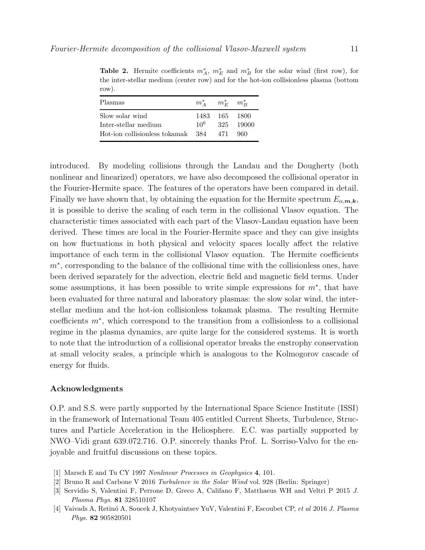| Plasmas                                                                          | $m_A^*$ $m_F^*$ $m_B^*$ |                                    |
|----------------------------------------------------------------------------------|-------------------------|------------------------------------|
| Slow solar wind<br>Inter-stellar medium<br>Hot-ion collisionless tokamak 384 471 | 10 <sup>6</sup>         | 1483 165 1800<br>325 19000<br>-960 |
|                                                                                  |                         |                                    |

<span id="page-10-4"></span>Table 2. Hermite coefficients  $m_A^*$ ,  $m_E^*$  and  $m_B^*$  for the solar wind (first row), for the inter-stellar medium (center row) and for the hot-ion collisionless plasma (bottom row).

introduced. By modeling collisions through the Landau and the Dougherty (both nonlinear and linearized) operators, we have also decomposed the collisional operator in the Fourier-Hermite space. The features of the operators have been compared in detail. Finally we have shown that, by obtaining the equation for the Hermite spectrum  $E_{\alpha,\mathbf{m},\mathbf{k}}$ , it is possible to derive the scaling of each term in the collisional Vlasov equation. The characteristic times associated with each part of the Vlasov-Landau equation have been derived. These times are local in the Fourier-Hermite space and they can give insights on how fluctuations in both physical and velocity spaces locally affect the relative importance of each term in the collisional Vlasov equation. The Hermite coefficients m<sup>∗</sup>, corresponding to the balance of the collisional time with the collisionless ones, have been derived separately for the advection, electric field and magnetic field terms. Under some assumptions, it has been possible to write simple expressions for  $m^*$ , that have been evaluated for three natural and laboratory plasmas: the slow solar wind, the interstellar medium and the hot-ion collisionless tokamak plasma. The resulting Hermite coefficients m<sup>∗</sup> , which correspond to the transition from a collisionless to a collisional regime in the plasma dynamics, are quite large for the considered systems. It is worth to note that the introduction of a collisional operator breaks the enstrophy conservation at small velocity scales, a principle which is analogous to the Kolmogorov cascade of energy for fluids.

# Acknowledgments

O.P. and S.S. were partly supported by the International Space Science Institute (ISSI) in the framework of International Team 405 entitled Current Sheets, Turbulence, Structures and Particle Acceleration in the Heliosphere. E.C. was partially supported by NWO–Vidi grant 639.072.716. O.P. sincerely thanks Prof. L. Sorriso-Valvo for the enjoyable and fruitful discussions on these topics.

- <span id="page-10-1"></span><span id="page-10-0"></span>[1] Marsch E and Tu CY 1997 Nonlinear Processes in Geophysics 4, 101.
- <span id="page-10-2"></span>[2] Bruno R and Carbone V 2016 Turbulence in the Solar Wind vol. 928 (Berlin: Springer)
- <span id="page-10-3"></span>[3] Servidio S, Valentini F, Perrone D, Greco A, Califano F, Matthaeus WH and Veltri P 2015 J. Plasma Phys. 81 328510107
- [4] Vaivads A, Retin´o A, Soucek J, Khotyaintsev YuV, Valentini F, Escoubet CP, et al 2016 J. Plasma Phys. 82 905820501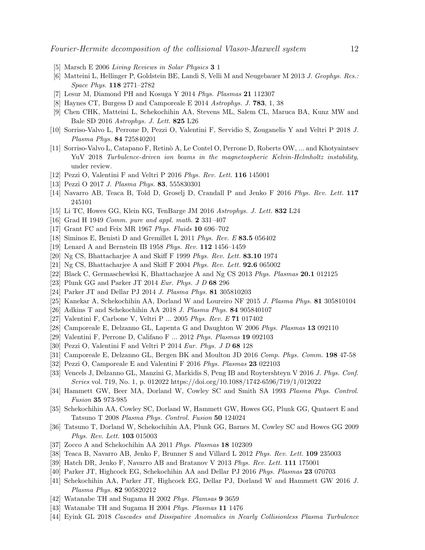- <span id="page-11-1"></span><span id="page-11-0"></span>[5] Marsch E 2006 Living Reviews in Solar Physics 3 1
- <span id="page-11-2"></span>[6] Matteini L, Hellinger P, Goldstein BE, Landi S, Velli M and Neugebauer M 2013 J. Geophys. Res.: Space Phys. 118 2771–2782
- <span id="page-11-3"></span>[7] Lesur M, Diamond PH and Kosuga Y 2014 Phys. Plasmas 21 112307
- <span id="page-11-4"></span>[8] Haynes CT, Burgess D and Camporeale E 2014 Astrophys. J. 783, 1, 38
- <span id="page-11-5"></span>[9] Chen CHK, Matteini L, Schekochihin AA, Stevens ML, Salem CL, Maruca BA, Kunz MW and Bale SD 2016 Astrophys. J. Lett. 825 L26
- <span id="page-11-6"></span>[10] Sorriso-Valvo L, Perrone D, Pezzi O, Valentini F, Servidio S, Zouganelis Y and Veltri P 2018 J. Plasma Phys. 84 725840201
- [11] Sorriso-Valvo L, Catapano F, Retinò A, Le Contel O, Perrone D, Roberts OW, ... and Khotyaintsev YuV 2018 Turbulence-driven ion beams in the magnetospheric Kelvin-Helmholtz instability, under review.
- <span id="page-11-8"></span><span id="page-11-7"></span>[12] Pezzi O, Valentini F and Veltri P 2016 Phys. Rev. Lett. 116 145001
- <span id="page-11-9"></span>[13] Pezzi O 2017 J. Plasma Phys. 83, 555830301
- <span id="page-11-10"></span>[14] Navarro AB, Teaca B, Told D, Groselj D, Crandall P and Jenko F 2016 Phys. Rev. Lett. 117 245101
- <span id="page-11-11"></span>[15] Li TC, Howes GG, Klein KG, TenBarge JM 2016 Astrophys. J. Lett. 832 L24
- <span id="page-11-12"></span>[16] Grad H 1949 Comm. pure and appl. math. 2 331–407
- <span id="page-11-13"></span>[17] Grant FC and Feix MR 1967 Phys. Fluids 10 696–702
- <span id="page-11-14"></span>[18] Siminos E, Benisti D and Gremillet L 2011 Phys. Rev. E 83.5 056402
- <span id="page-11-15"></span>[19] Lenard A and Bernstein IB 1958 Phys. Rev. 112 1456–1459
- <span id="page-11-16"></span>[20] Ng CS, Bhattacharjee A and Skiff F 1999 Phys. Rev. Lett. 83.10 1974
- <span id="page-11-17"></span>[21] Ng CS, Bhattacharjee A and Skiff F 2004 Phys. Rev. Lett. 92.6 065002
- <span id="page-11-18"></span>[22] Black C, Germaschewksi K, Bhattacharjee A and Ng CS 2013 Phys. Plasmas 20.1 012125
- <span id="page-11-19"></span>[23] Plunk GG and Parker JT 2014 Eur. Phys. J D 68 296
- <span id="page-11-20"></span>[24] Parker JT and Dellar PJ 2014 J. Plasma Phys. 81 305810203
- <span id="page-11-21"></span>[25] Kanekar A, Schekochihin AA, Dorland W and Loureiro NF 2015 J. Plasma Phys. 81 305810104
- <span id="page-11-22"></span>[26] Adkins T and Schekochihin AA 2018 J. Plasma Phys. 84 905840107
- <span id="page-11-23"></span>[27] Valentini F, Carbone V, Veltri P ... 2005 Phys. Rev. E 71 017402
- <span id="page-11-24"></span>[28] Camporeale E, Delzanno GL, Lapenta G and Daughton W 2006 Phys. Plasmas 13 092110
- <span id="page-11-25"></span>[29] Valentini F, Perrone D, Califano F ... 2012 Phys. Plasmas 19 092103
- <span id="page-11-26"></span>[30] Pezzi O, Valentini F and Veltri P 2014 Eur. Phys. J D 68 128
- <span id="page-11-27"></span>[31] Camporeale E, Delzanno GL, Bergen BK and Moulton JD 2016 Comp. Phys. Comm. 198 47-58
- <span id="page-11-28"></span>[32] Pezzi O, Camporeale E and Valentini F 2016 Phys. Plasmas 23 022103
- [33] Vencels J, Delzanno GL, Manzini G, Markidis S, Peng IB and Roytershteyn V 2016 J. Phys. Conf. Series vol. 719, No. 1, p. 012022 https://doi.org/10.1088/1742-6596/719/1/012022
- <span id="page-11-30"></span><span id="page-11-29"></span>[34] Hammett GW, Beer MA, Dorland W, Cowley SC and Smith SA 1993 Plasma Phys. Control. Fusion 35 973-985
- [35] Schekochihin AA, Cowley SC, Dorland W, Hammett GW, Howes GG, Plunk GG, Quataert E and Tatsuno T 2008 Plasma Phys. Control. Fusion 50 124024
- <span id="page-11-31"></span>[36] Tatsuno T, Dorland W, Schekochihin AA, Plunk GG, Barnes M, Cowley SC and Howes GG 2009 Phys. Rev. Lett. 103 015003
- <span id="page-11-33"></span><span id="page-11-32"></span>[37] Zocco A and Schekochihin AA 2011 Phys. Plasmas 18 102309
- <span id="page-11-34"></span>[38] Teaca B, Navarro AB, Jenko F, Brunner S and Villard L 2012 Phys. Rev. Lett. 109 235003
- <span id="page-11-35"></span>[39] Hatch DR, Jenko F, Navarro AB and Bratanov V 2013 Phys. Rev. Lett. 111 175001
- <span id="page-11-36"></span>[40] Parker JT, Highcock EG, Schekochihin AA and Dellar PJ 2016 Phys. Plasmas 23 070703
- [41] Schekochihin AA, Parker JT, Highcock EG, Dellar PJ, Dorland W and Hammett GW 2016 J. Plasma Phys. 82 905820212
- <span id="page-11-38"></span><span id="page-11-37"></span>[42] Watanabe TH and Sugama H 2002 Phys. Plamsas 9 3659
- <span id="page-11-39"></span>[43] Watanabe TH and Sugama H 2004 Phys. Plasmas 11 1476
- [44] Eyink GL 2018 Cascades and Dissipative Anomalies in Nearly Collisionless Plasma Turbulence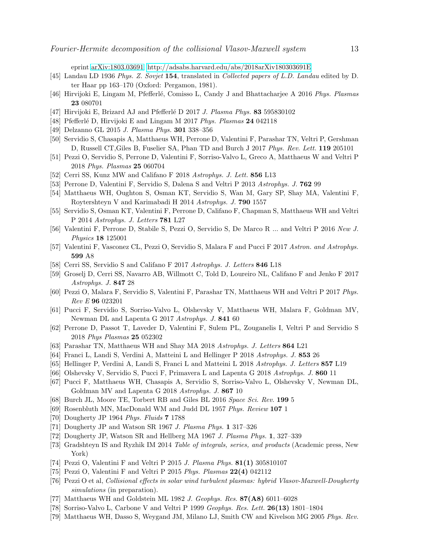eprint [arXiv:1803.03691,](http://arxiv.org/abs/1803.03691)<http://adsabs.harvard.edu/abs/2018arXiv180303691E>

- <span id="page-12-1"></span><span id="page-12-0"></span>[45] Landau LD 1936 Phys. Z. Sovjet 154, translated in Collected papers of L.D. Landau edited by D. ter Haar pp 163–170 (Oxford: Pergamon, 1981).
- <span id="page-12-2"></span>[46] Hirvijoki E, Lingam M, Pfefferlé, Comisso L, Candy J and Bhattacharjee A 2016 Phys. Plasmas 23 080701
- <span id="page-12-3"></span>[47] Hirvijoki E, Brizard AJ and Pfefferlé D 2017 J. Plasma Phys. 83 595830102
- <span id="page-12-4"></span>[48] Pfefferlé D, Hirvijoki E and Lingam M 2017 Phys. Plasmas 24 042118
- <span id="page-12-5"></span>[49] Delzanno GL 2015 J. Plasma Phys. 301 338–356
- <span id="page-12-6"></span>[50] Servidio S, Chasapis A, Matthaeus WH, Perrone D, Valentini F, Parashar TN, Veltri P, Gershman D, Russell CT,Giles B, Fuselier SA, Phan TD and Burch J 2017 Phys. Rev. Lett. 119 205101
- <span id="page-12-7"></span>[51] Pezzi O, Servidio S, Perrone D, Valentini F, Sorriso-Valvo L, Greco A, Matthaeus W and Veltri P 2018 Phys. Plasmas 25 060704
- <span id="page-12-8"></span>[52] Cerri SS, Kunz MW and Califano F 2018 Astrophys. J. Lett. 856 L13
- <span id="page-12-9"></span>[53] Perrone D, Valentini F, Servidio S, Dalena S and Veltri P 2013 Astrophys. J. 762 99
- <span id="page-12-10"></span>[54] Matthaeus WH, Oughton S, Osman KT, Servidio S, Wan M, Gary SP, Shay MA, Valentini F, Roytershteyn V and Karimabadi H 2014 Astrophys. J. 790 1557
- <span id="page-12-11"></span>[55] Servidio S, Osman KT, Valentini F, Perrone D, Califano F, Chapman S, Matthaeus WH and Veltri P 2014 Astrophys. J. Letters 781 L27
- <span id="page-12-12"></span>[56] Valentini F, Perrone D, Stabile S, Pezzi O, Servidio S, De Marco R ... and Veltri P 2016 New J. Physics 18 125001
- <span id="page-12-13"></span>[57] Valentini F, Vasconez CL, Pezzi O, Servidio S, Malara F and Pucci F 2017 Astron. and Astrophys. 599 A8
- <span id="page-12-14"></span>[58] Cerri SS, Servidio S and Califano F 2017 Astrophys. J. Letters 846 L18
- <span id="page-12-15"></span>[59] Groselj D, Cerri SS, Navarro AB, Willmott C, Told D, Loureiro NL, Califano F and Jenko F 2017 Astrophys. J. 847 28
- <span id="page-12-16"></span>[60] Pezzi O, Malara F, Servidio S, Valentini F, Parashar TN, Matthaeus WH and Veltri P 2017 Phys. Rev E 96 023201
- <span id="page-12-17"></span>[61] Pucci F, Servidio S, Sorriso-Valvo L, Olshevsky V, Matthaeus WH, Malara F, Goldman MV, Newman DL and Lapenta G 2017 Astrophys. J. 841 60
- <span id="page-12-18"></span>[62] Perrone D, Passot T, Laveder D, Valentini F, Sulem PL, Zouganelis I, Veltri P and Servidio S 2018 Phys Plasmas 25 052302
- <span id="page-12-19"></span>[63] Parashar TN, Matthaeus WH and Shay MA 2018 Astrophys. J. Letters 864 L21
- <span id="page-12-20"></span>[64] Franci L, Landi S, Verdini A, Matteini L and Hellinger P 2018 Astrophys. J. 853 26
- <span id="page-12-21"></span>[65] Hellinger P, Verdini A, Landi S, Franci L and Matteini L 2018 Astrophys. J. Letters 857 L19
- <span id="page-12-22"></span>[66] Olshevsky V, Servidio S, Pucci F, Primavera L and Lapenta G 2018 Astrophys. J. 860 11
- [67] Pucci F, Matthaeus WH, Chasapis A, Servidio S, Sorriso-Valvo L, Olshevsky V, Newman DL, Goldman MV and Lapenta G 2018 Astrophys. J. 867 10
- <span id="page-12-24"></span><span id="page-12-23"></span>[68] Burch JL, Moore TE, Torbert RB and Giles BL 2016 Space Sci. Rev. 199 5
- <span id="page-12-25"></span>[69] Rosenbluth MN, MacDonald WM and Judd DL 1957 Phys. Review 107 1
- <span id="page-12-26"></span>[70] Dougherty JP 1964 Phys. Fluids 7 1788
- <span id="page-12-27"></span>[71] Dougherty JP and Watson SR 1967 J. Plasma Phys. 1 317–326
- <span id="page-12-31"></span>[72] Dougherty JP, Watson SR and Hellberg MA 1967 J. Plasma Phys. 1, 327–339
- [73] Gradshteyn IS and Ryzhik IM 2014 Table of integrals, series, and products (Academic press, New York)
- <span id="page-12-29"></span><span id="page-12-28"></span>[74] Pezzi O, Valentini F and Veltri P 2015 J. Plasma Phys. 81(1) 305810107
- <span id="page-12-30"></span>[75] Pezzi O, Valentini F and Veltri P 2015 Phys. Plasmas 22(4) 042112
- [76] Pezzi O et al, Collisional effects in solar wind turbulent plasmas: hybrid Vlasov-Maxwell-Dougherty simulations (in preparation).
- <span id="page-12-33"></span><span id="page-12-32"></span>[77] Matthaeus WH and Goldstein ML 1982 J. Geophys. Res.  $87($ A8) 6011–6028
- <span id="page-12-34"></span>[78] Sorriso-Valvo L, Carbone V and Veltri P 1999 Geophys. Res. Lett. 26(13) 1801–1804
- [79] Matthaeus WH, Dasso S, Weygand JM, Milano LJ, Smith CW and Kivelson MG 2005 Phys. Rev.